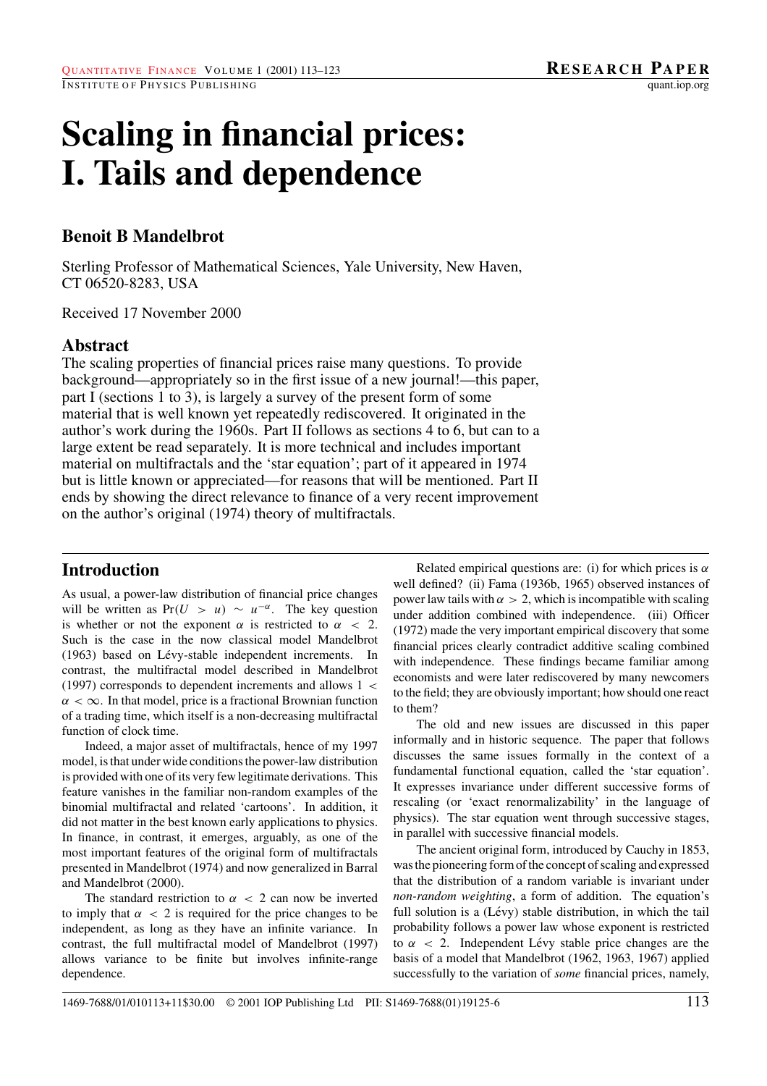# **Scaling in financial prices: I. Tails and dependence**

# **Benoit B Mandelbrot**

Sterling Professor of Mathematical Sciences, Yale University, New Haven, CT 06520-8283, USA

Received 17 November 2000

### **Abstract**

The scaling properties of financial prices raise many questions. To provide background—appropriately so in the first issue of a new journal!—this paper, part I (sections 1 to 3), is largely a survey of the present form of some material that is well known yet repeatedly rediscovered. It originated in the author's work during the 1960s. Part II follows as sections 4 to 6, but can to a large extent be read separately. It is more technical and includes important material on multifractals and the 'star equation'; part of it appeared in 1974 but is little known or appreciated—for reasons that will be mentioned. Part II ends by showing the direct relevance to finance of a very recent improvement on the author's original (1974) theory of multifractals.

# **Introduction**

As usual, a power-law distribution of financial price changes will be written as  $Pr(U > u) \sim u^{-\alpha}$ . The key question is whether or not the exponent  $\alpha$  is restricted to  $\alpha < 2$ . Such is the case in the now classical model Mandelbrot (1963) based on Lévy-stable independent increments. In contrast, the multifractal model described in Mandelbrot (1997) corresponds to dependent increments and allows  $1 \lt \mathbb{R}$  $\alpha < \infty$ . In that model, price is a fractional Brownian function of a trading time, which itself is a non-decreasing multifractal function of clock time.

Indeed, a major asset of multifractals, hence of my 1997 model, is that under wide conditions the power-law distribution is provided with one of its very few legitimate derivations. This feature vanishes in the familiar non-random examples of the binomial multifractal and related 'cartoons'. In addition, it did not matter in the best known early applications to physics. In finance, in contrast, it emerges, arguably, as one of the most important features of the original form of multifractals presented in Mandelbrot (1974) and now generalized in Barral and Mandelbrot (2000).

The standard restriction to  $\alpha$  < 2 can now be inverted to imply that  $\alpha < 2$  is required for the price changes to be independent, as long as they have an infinite variance. In contrast, the full multifractal model of Mandelbrot (1997) allows variance to be finite but involves infinite-range dependence.

Related empirical questions are: (i) for which prices is  $\alpha$ well defined? (ii) Fama (1936b, 1965) observed instances of power law tails with  $\alpha > 2$ , which is incompatible with scaling under addition combined with independence. (iii) Officer (1972) made the very important empirical discovery that some financial prices clearly contradict additive scaling combined with independence. These findings became familiar among economists and were later rediscovered by many newcomers to the field; they are obviously important; how should one react to them?

The old and new issues are discussed in this paper informally and in historic sequence. The paper that follows discusses the same issues formally in the context of a fundamental functional equation, called the 'star equation'. It expresses invariance under different successive forms of rescaling (or 'exact renormalizability' in the language of physics). The star equation went through successive stages, in parallel with successive financial models.

The ancient original form, introduced by Cauchy in 1853, was the pioneering form of the concept of scaling and expressed that the distribution of a random variable is invariant under *non-random weighting*, a form of addition. The equation's full solution is a  $(Lévy)$  stable distribution, in which the tail probability follows a power law whose exponent is restricted to  $\alpha$  < 2. Independent Lévy stable price changes are the basis of a model that Mandelbrot (1962, 1963, 1967) applied successfully to the variation of *some* financial prices, namely,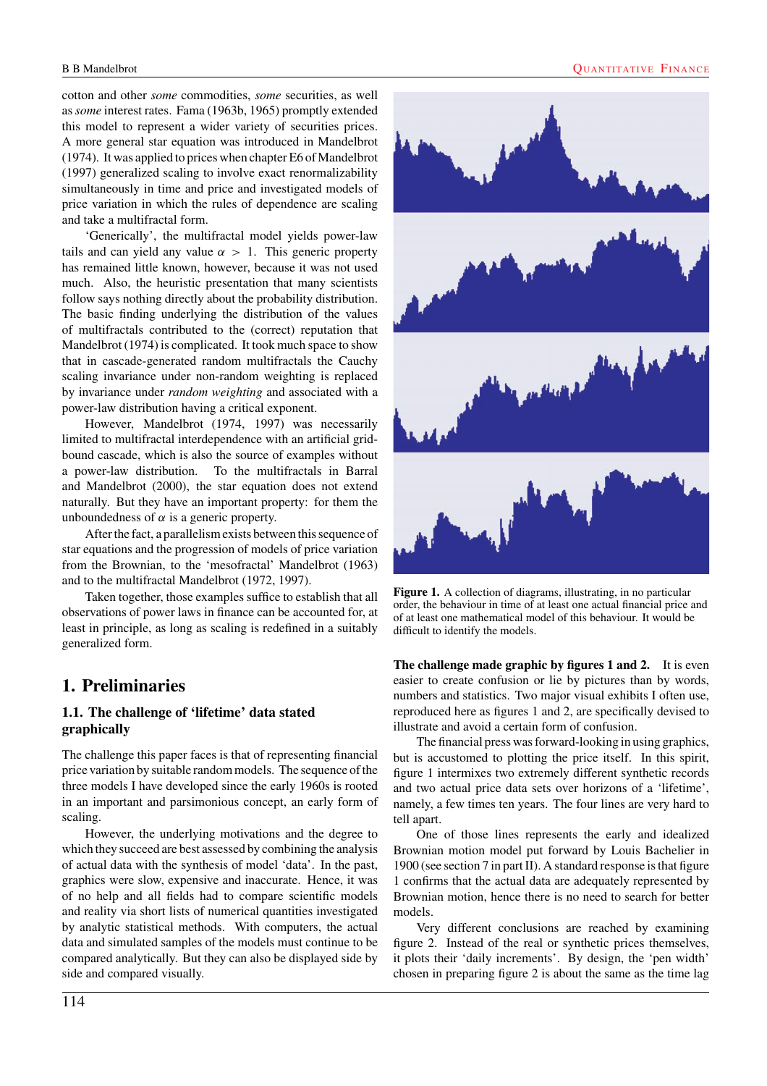cotton and other *some* commodities, *some* securities, as well as *some* interest rates. Fama (1963b, 1965) promptly extended this model to represent a wider variety of securities prices. A more general star equation was introduced in Mandelbrot (1974). It was applied to prices when chapter E6 of Mandelbrot (1997) generalized scaling to involve exact renormalizability simultaneously in time and price and investigated models of price variation in which the rules of dependence are scaling and take a multifractal form.

'Generically', the multifractal model yields power-law tails and can yield any value  $\alpha > 1$ . This generic property has remained little known, however, because it was not used much. Also, the heuristic presentation that many scientists follow says nothing directly about the probability distribution. The basic finding underlying the distribution of the values of multifractals contributed to the (correct) reputation that Mandelbrot (1974) is complicated. It took much space to show that in cascade-generated random multifractals the Cauchy scaling invariance under non-random weighting is replaced by invariance under *random weighting* and associated with a power-law distribution having a critical exponent.

However, Mandelbrot (1974, 1997) was necessarily limited to multifractal interdependence with an artificial gridbound cascade, which is also the source of examples without a power-law distribution. To the multifractals in Barral and Mandelbrot (2000), the star equation does not extend naturally. But they have an important property: for them the unboundedness of  $\alpha$  is a generic property.

After the fact, a parallelism exists between this sequence of star equations and the progression of models of price variation from the Brownian, to the 'mesofractal' Mandelbrot (1963) and to the multifractal Mandelbrot (1972, 1997).

Taken together, those examples suffice to establish that all observations of power laws in finance can be accounted for, at least in principle, as long as scaling is redefined in a suitably generalized form.

## **1. Preliminaries**

#### **1.1. The challenge of 'lifetime' data stated graphically**

The challenge this paper faces is that of representing financial price variation by suitable random models. The sequence of the three models I have developed since the early 1960s is rooted in an important and parsimonious concept, an early form of scaling.

However, the underlying motivations and the degree to which they succeed are best assessed by combining the analysis of actual data with the synthesis of model 'data'. In the past, graphics were slow, expensive and inaccurate. Hence, it was of no help and all fields had to compare scientific models and reality via short lists of numerical quantities investigated by analytic statistical methods. With computers, the actual data and simulated samples of the models must continue to be compared analytically. But they can also be displayed side by side and compared visually.

#### B B Mandelbrot **QUANTITATIVE FINANCE**



Figure 1. A collection of diagrams, illustrating, in no particular order, the behaviour in time of at least one actual financial price and of at least one mathematical model of this behaviour. It would be difficult to identify the models.

**The challenge made graphic by figures 1 and 2.** It is even easier to create confusion or lie by pictures than by words, numbers and statistics. Two major visual exhibits I often use, reproduced here as figures 1 and 2, are specifically devised to illustrate and avoid a certain form of confusion.

The financial press was forward-looking in using graphics, but is accustomed to plotting the price itself. In this spirit, figure 1 intermixes two extremely different synthetic records and two actual price data sets over horizons of a 'lifetime', namely, a few times ten years. The four lines are very hard to tell apart.

One of those lines represents the early and idealized Brownian motion model put forward by Louis Bachelier in 1900 (see section 7 in part II). A standard response is that figure 1 confirms that the actual data are adequately represented by Brownian motion, hence there is no need to search for better models.

Very different conclusions are reached by examining figure 2. Instead of the real or synthetic prices themselves, it plots their 'daily increments'. By design, the 'pen width' chosen in preparing figure 2 is about the same as the time lag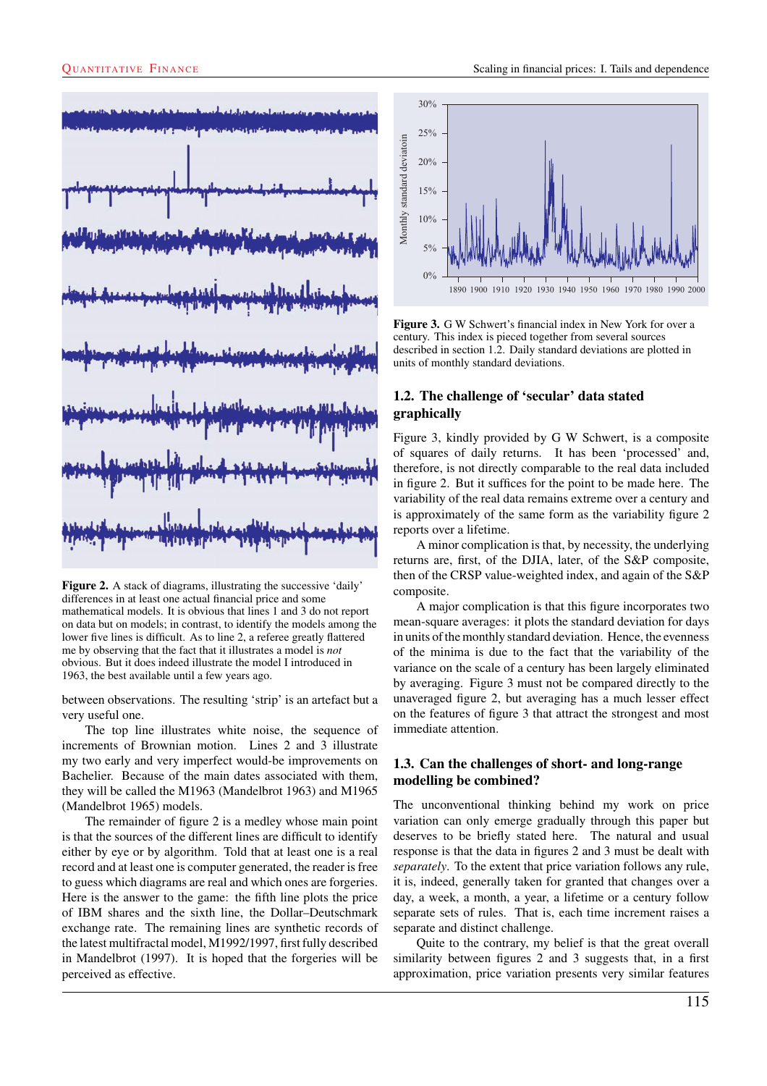

Figure 2. A stack of diagrams, illustrating the successive 'daily' differences in at least one actual financial price and some mathematical models. It is obvious that lines 1 and 3 do not report on data but on models; in contrast, to identify the models among the lower five lines is difficult. As to line 2, a referee greatly flattered me by observing that the fact that it illustrates a model is *not* obvious. But it does indeed illustrate the model I introduced in 1963, the best available until a few years ago.

between observations. The resulting 'strip' is an artefact but a very useful one.

The top line illustrates white noise, the sequence of increments of Brownian motion. Lines 2 and 3 illustrate my two early and very imperfect would-be improvements on Bachelier. Because of the main dates associated with them, they will be called the M1963 (Mandelbrot 1963) and M1965 (Mandelbrot 1965) models.

The remainder of figure 2 is a medley whose main point is that the sources of the different lines are difficult to identify either by eye or by algorithm. Told that at least one is a real record and at least one is computer generated, the reader is free to guess which diagrams are real and which ones are forgeries. Here is the answer to the game: the fifth line plots the price of IBM shares and the sixth line, the Dollar–Deutschmark exchange rate. The remaining lines are synthetic records of the latest multifractal model, M1992/1997, first fully described in Mandelbrot (1997). It is hoped that the forgeries will be perceived as effective.



**Figure 3.** G W Schwert's financial index in New York for over a century. This index is pieced together from several sources described in section 1.2. Daily standard deviations are plotted in units of monthly standard deviations.

#### **1.2. The challenge of 'secular' data stated graphically**

Figure 3, kindly provided by G W Schwert, is a composite of squares of daily returns. It has been 'processed' and, therefore, is not directly comparable to the real data included in figure 2. But it suffices for the point to be made here. The variability of the real data remains extreme over a century and is approximately of the same form as the variability figure 2 reports over a lifetime.

A minor complication is that, by necessity, the underlying returns are, first, of the DJIA, later, of the S&P composite, then of the CRSP value-weighted index, and again of the S&P composite.

A major complication is that this figure incorporates two mean-square averages: it plots the standard deviation for days in units of the monthly standard deviation. Hence, the evenness of the minima is due to the fact that the variability of the variance on the scale of a century has been largely eliminated by averaging. Figure 3 must not be compared directly to the unaveraged figure 2, but averaging has a much lesser effect on the features of figure 3 that attract the strongest and most immediate attention.

#### **1.3. Can the challenges of short- and long-range modelling be combined?**

The unconventional thinking behind my work on price variation can only emerge gradually through this paper but deserves to be briefly stated here. The natural and usual response is that the data in figures 2 and 3 must be dealt with *separately*. To the extent that price variation follows any rule, it is, indeed, generally taken for granted that changes over a day, a week, a month, a year, a lifetime or a century follow separate sets of rules. That is, each time increment raises a separate and distinct challenge.

Quite to the contrary, my belief is that the great overall similarity between figures 2 and 3 suggests that, in a first approximation, price variation presents very similar features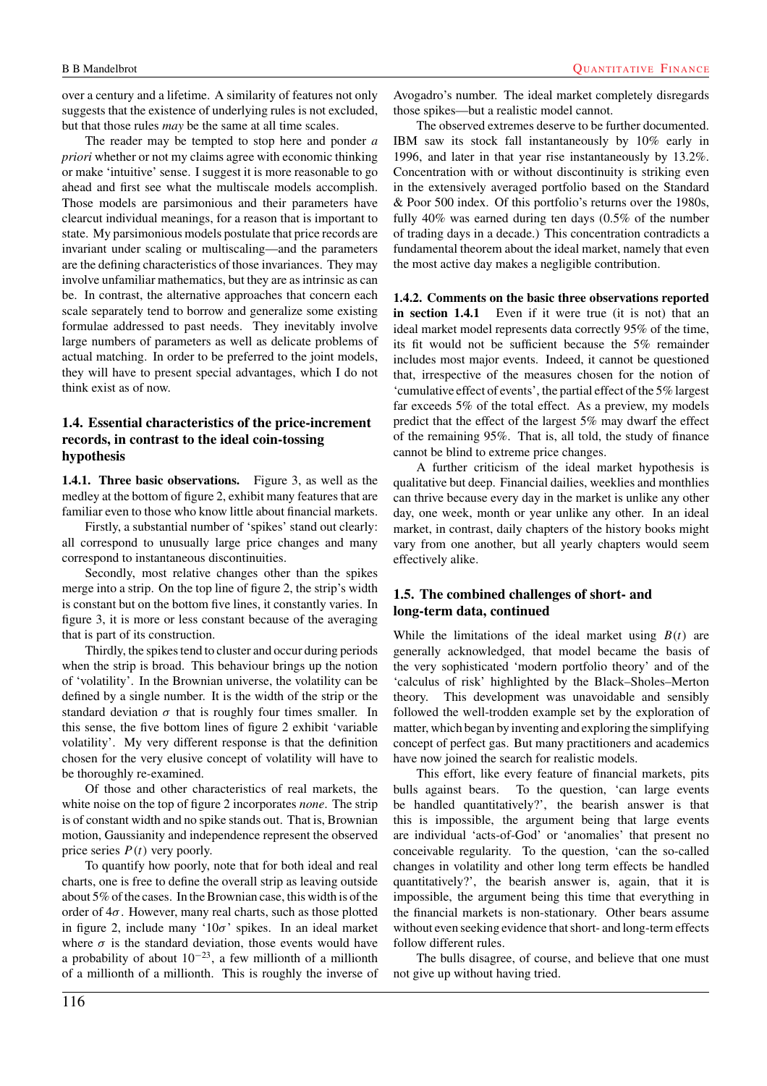over a century and a lifetime. A similarity of features not only suggests that the existence of underlying rules is not excluded, but that those rules *may* be the same at all time scales.

The reader may be tempted to stop here and ponder *a priori* whether or not my claims agree with economic thinking or make 'intuitive' sense. I suggest it is more reasonable to go ahead and first see what the multiscale models accomplish. Those models are parsimonious and their parameters have clearcut individual meanings, for a reason that is important to state. My parsimonious models postulate that price records are invariant under scaling or multiscaling—and the parameters are the defining characteristics of those invariances. They may involve unfamiliar mathematics, but they are as intrinsic as can be. In contrast, the alternative approaches that concern each scale separately tend to borrow and generalize some existing formulae addressed to past needs. They inevitably involve large numbers of parameters as well as delicate problems of actual matching. In order to be preferred to the joint models, they will have to present special advantages, which I do not think exist as of now.

#### **1.4. Essential characteristics of the price-increment records, in contrast to the ideal coin-tossing hypothesis**

**1.4.1. Three basic observations.** Figure 3, as well as the medley at the bottom of figure 2, exhibit many features that are familiar even to those who know little about financial markets.

Firstly, a substantial number of 'spikes' stand out clearly: all correspond to unusually large price changes and many correspond to instantaneous discontinuities.

Secondly, most relative changes other than the spikes merge into a strip. On the top line of figure 2, the strip's width is constant but on the bottom five lines, it constantly varies. In figure 3, it is more or less constant because of the averaging that is part of its construction.

Thirdly, the spikes tend to cluster and occur during periods when the strip is broad. This behaviour brings up the notion of 'volatility'. In the Brownian universe, the volatility can be defined by a single number. It is the width of the strip or the standard deviation  $\sigma$  that is roughly four times smaller. In this sense, the five bottom lines of figure 2 exhibit 'variable volatility'. My very different response is that the definition chosen for the very elusive concept of volatility will have to be thoroughly re-examined.

Of those and other characteristics of real markets, the white noise on the top of figure 2 incorporates *none*. The strip is of constant width and no spike stands out. That is, Brownian motion, Gaussianity and independence represent the observed price series  $P(t)$  very poorly.

To quantify how poorly, note that for both ideal and real charts, one is free to define the overall strip as leaving outside about 5% of the cases. In the Brownian case, this width is of the order of  $4\sigma$ . However, many real charts, such as those plotted in figure 2, include many ' $10\sigma$ ' spikes. In an ideal market where  $\sigma$  is the standard deviation, those events would have a probability of about  $10^{-23}$ , a few millionth of a millionth of a millionth of a millionth. This is roughly the inverse of Avogadro's number. The ideal market completely disregards those spikes—but a realistic model cannot.

The observed extremes deserve to be further documented. IBM saw its stock fall instantaneously by 10% early in 1996, and later in that year rise instantaneously by 13.2%. Concentration with or without discontinuity is striking even in the extensively averaged portfolio based on the Standard & Poor 500 index. Of this portfolio's returns over the 1980s, fully 40% was earned during ten days (0.5% of the number of trading days in a decade.) This concentration contradicts a fundamental theorem about the ideal market, namely that even the most active day makes a negligible contribution.

**1.4.2. Comments on the basic three observations reported in section 1.4.1** Even if it were true (it is not) that an ideal market model represents data correctly 95% of the time, its fit would not be sufficient because the 5% remainder includes most major events. Indeed, it cannot be questioned that, irrespective of the measures chosen for the notion of 'cumulative effect of events', the partial effect of the 5% largest far exceeds 5% of the total effect. As a preview, my models predict that the effect of the largest 5% may dwarf the effect of the remaining 95%. That is, all told, the study of finance cannot be blind to extreme price changes.

A further criticism of the ideal market hypothesis is qualitative but deep. Financial dailies, weeklies and monthlies can thrive because every day in the market is unlike any other day, one week, month or year unlike any other. In an ideal market, in contrast, daily chapters of the history books might vary from one another, but all yearly chapters would seem effectively alike.

#### **1.5. The combined challenges of short- and long-term data, continued**

While the limitations of the ideal market using  $B(t)$  are generally acknowledged, that model became the basis of the very sophisticated 'modern portfolio theory' and of the 'calculus of risk' highlighted by the Black–Sholes–Merton theory. This development was unavoidable and sensibly followed the well-trodden example set by the exploration of matter, which began by inventing and exploring the simplifying concept of perfect gas. But many practitioners and academics have now joined the search for realistic models.

This effort, like every feature of financial markets, pits bulls against bears. To the question, 'can large events be handled quantitatively?', the bearish answer is that this is impossible, the argument being that large events are individual 'acts-of-God' or 'anomalies' that present no conceivable regularity. To the question, 'can the so-called changes in volatility and other long term effects be handled quantitatively?', the bearish answer is, again, that it is impossible, the argument being this time that everything in the financial markets is non-stationary. Other bears assume without even seeking evidence that short- and long-term effects follow different rules.

The bulls disagree, of course, and believe that one must not give up without having tried.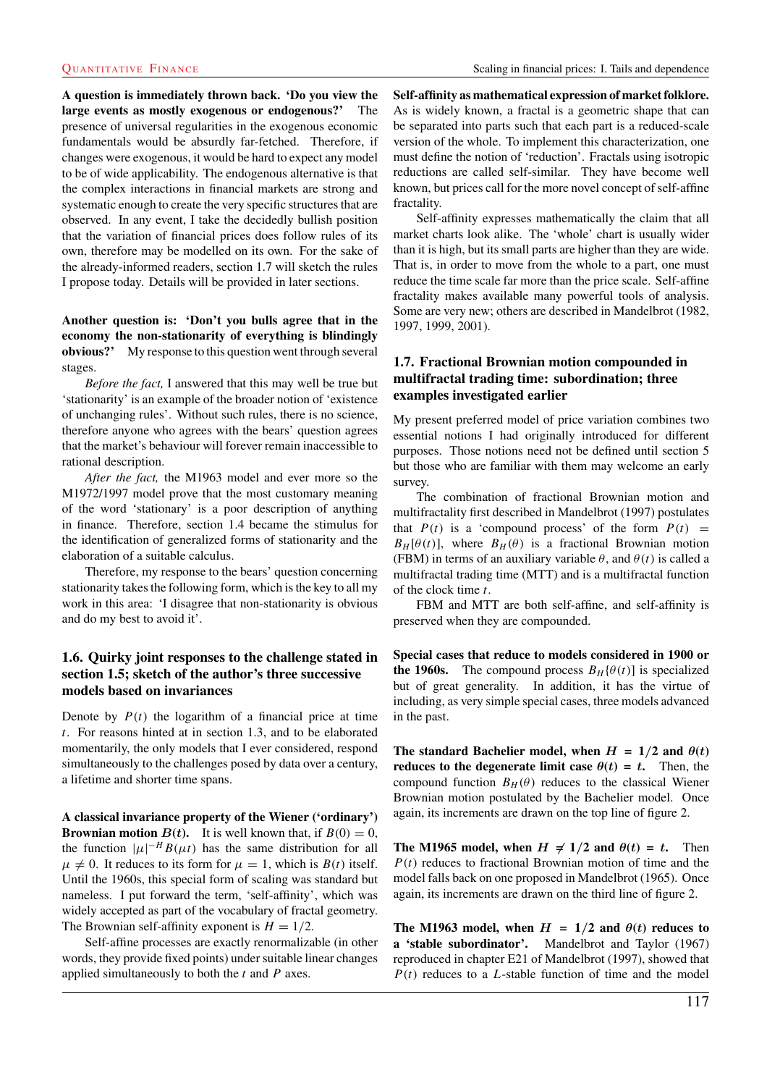**A question is immediately thrown back. 'Do you view the large events as mostly exogenous or endogenous?'** The presence of universal regularities in the exogenous economic fundamentals would be absurdly far-fetched. Therefore, if changes were exogenous, it would be hard to expect any model to be of wide applicability. The endogenous alternative is that the complex interactions in financial markets are strong and systematic enough to create the very specific structures that are observed. In any event, I take the decidedly bullish position that the variation of financial prices does follow rules of its own, therefore may be modelled on its own. For the sake of the already-informed readers, section 1.7 will sketch the rules I propose today. Details will be provided in later sections.

#### **Another question is: 'Don't you bulls agree that in the economy the non-stationarity of everything is blindingly obvious?'** My response to this question went through several stages.

*Before the fact,* I answered that this may well be true but 'stationarity' is an example of the broader notion of 'existence of unchanging rules'. Without such rules, there is no science, therefore anyone who agrees with the bears' question agrees that the market's behaviour will forever remain inaccessible to rational description.

*After the fact,* the M1963 model and ever more so the M1972/1997 model prove that the most customary meaning of the word 'stationary' is a poor description of anything in finance. Therefore, section 1.4 became the stimulus for the identification of generalized forms of stationarity and the elaboration of a suitable calculus.

Therefore, my response to the bears' question concerning stationarity takes the following form, which is the key to all my work in this area: 'I disagree that non-stationarity is obvious and do my best to avoid it'.

#### **1.6. Quirky joint responses to the challenge stated in section 1.5; sketch of the author's three successive models based on invariances**

Denote by  $P(t)$  the logarithm of a financial price at time t. For reasons hinted at in section 1.3, and to be elaborated momentarily, the only models that I ever considered, respond simultaneously to the challenges posed by data over a century, a lifetime and shorter time spans.

**A classical invariance property of the Wiener ('ordinary') Brownian motion**  $B(t)$ . It is well known that, if  $B(0) = 0$ , the function  $|\mu|^{-H} B(\mu t)$  has the same distribution for all  $\mu \neq 0$ . It reduces to its form for  $\mu = 1$ , which is  $B(t)$  itself. Until the 1960s, this special form of scaling was standard but nameless. I put forward the term, 'self-affinity', which was widely accepted as part of the vocabulary of fractal geometry. The Brownian self-affinity exponent is  $H = 1/2$ .

Self-affine processes are exactly renormalizable (in other words, they provide fixed points) under suitable linear changes applied simultaneously to both the  $t$  and  $P$  axes.

**Self-affinity as mathematical expression of market folklore.** As is widely known, a fractal is a geometric shape that can be separated into parts such that each part is a reduced-scale version of the whole. To implement this characterization, one must define the notion of 'reduction'. Fractals using isotropic reductions are called self-similar. They have become well known, but prices call for the more novel concept of self-affine fractality.

Self-affinity expresses mathematically the claim that all market charts look alike. The 'whole' chart is usually wider than it is high, but its small parts are higher than they are wide. That is, in order to move from the whole to a part, one must reduce the time scale far more than the price scale. Self-affine fractality makes available many powerful tools of analysis. Some are very new; others are described in Mandelbrot (1982, 1997, 1999, 2001).

#### **1.7. Fractional Brownian motion compounded in multifractal trading time: subordination; three examples investigated earlier**

My present preferred model of price variation combines two essential notions I had originally introduced for different purposes. Those notions need not be defined until section 5 but those who are familiar with them may welcome an early survey.

The combination of fractional Brownian motion and multifractality first described in Mandelbrot (1997) postulates that  $P(t)$  is a 'compound process' of the form  $P(t)$  =  $B_H[\theta(t)]$ , where  $B_H(\theta)$  is a fractional Brownian motion (FBM) in terms of an auxiliary variable  $\theta$ , and  $\theta(t)$  is called a multifractal trading time (MTT) and is a multifractal function of the clock time t.

FBM and MTT are both self-affine, and self-affinity is preserved when they are compounded.

**Special cases that reduce to models considered in 1900 or the 1960s.** The compound process  $B_H\{\theta(t)\}$  is specialized but of great generality. In addition, it has the virtue of including, as very simple special cases, three models advanced in the past.

The standard Bachelier model, when  $H = 1/2$  and  $\theta(t)$ **reduces to the degenerate limit case**  $\theta(t) = t$ . Then, the compound function  $B_H(\theta)$  reduces to the classical Wiener Brownian motion postulated by the Bachelier model. Once again, its increments are drawn on the top line of figure 2.

**The M1965 model, when**  $H \neq 1/2$  and  $\theta(t) = t$ . Then  $P(t)$  reduces to fractional Brownian motion of time and the model falls back on one proposed in Mandelbrot (1965). Once again, its increments are drawn on the third line of figure 2.

**The M1963 model, when**  $H = 1/2$  and  $\theta(t)$  reduces to **a 'stable subordinator'.** Mandelbrot and Taylor (1967) reproduced in chapter E21 of Mandelbrot (1997), showed that  $P(t)$  reduces to a L-stable function of time and the model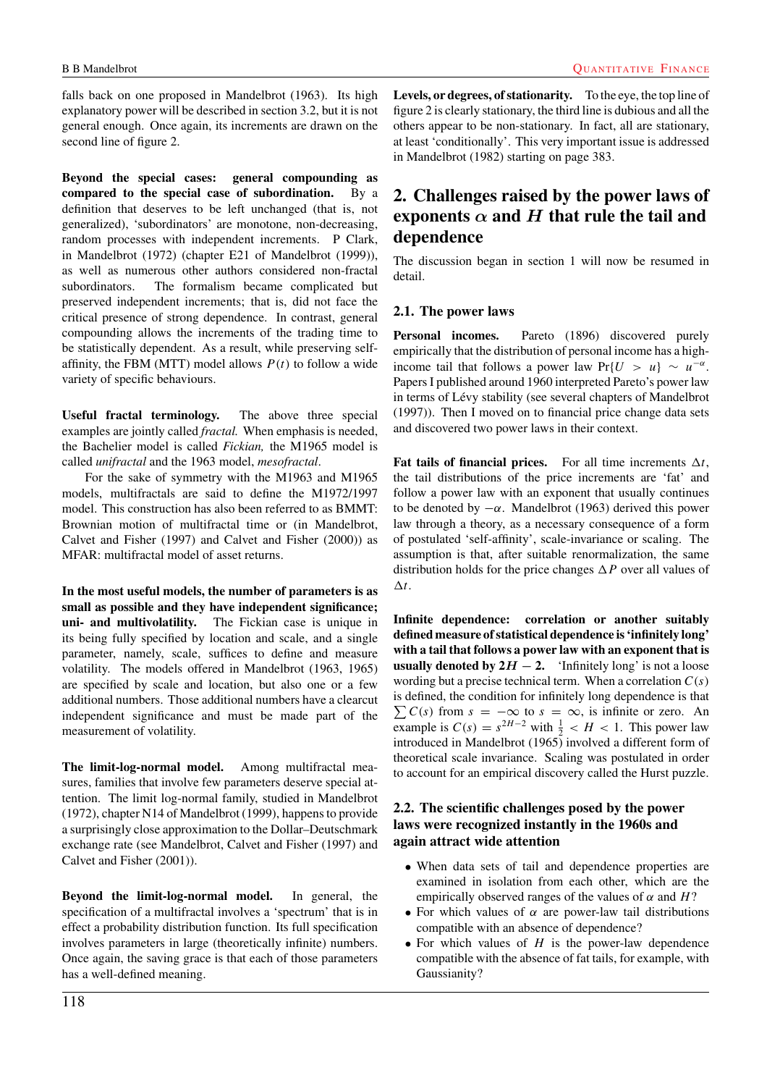falls back on one proposed in Mandelbrot (1963). Its high explanatory power will be described in section 3.2, but it is not general enough. Once again, its increments are drawn on the second line of figure 2.

**Beyond the special cases: general compounding as compared to the special case of subordination.** By a definition that deserves to be left unchanged (that is, not generalized), 'subordinators' are monotone, non-decreasing, random processes with independent increments. P Clark, in Mandelbrot (1972) (chapter E21 of Mandelbrot (1999)), as well as numerous other authors considered non-fractal subordinators. The formalism became complicated but preserved independent increments; that is, did not face the critical presence of strong dependence. In contrast, general compounding allows the increments of the trading time to be statistically dependent. As a result, while preserving selfaffinity, the FBM (MTT) model allows  $P(t)$  to follow a wide variety of specific behaviours.

**Useful fractal terminology.** The above three special examples are jointly called *fractal.* When emphasis is needed, the Bachelier model is called *Fickian,* the M1965 model is called *unifractal* and the 1963 model, *mesofractal*.

For the sake of symmetry with the M1963 and M1965 models, multifractals are said to define the M1972/1997 model. This construction has also been referred to as BMMT: Brownian motion of multifractal time or (in Mandelbrot, Calvet and Fisher (1997) and Calvet and Fisher (2000)) as MFAR: multifractal model of asset returns.

**In the most useful models, the number of parameters is as small as possible and they have independent significance; uni- and multivolatility.** The Fickian case is unique in its being fully specified by location and scale, and a single parameter, namely, scale, suffices to define and measure volatility. The models offered in Mandelbrot (1963, 1965) are specified by scale and location, but also one or a few additional numbers. Those additional numbers have a clearcut independent significance and must be made part of the measurement of volatility.

**The limit-log-normal model.** Among multifractal measures, families that involve few parameters deserve special attention. The limit log-normal family, studied in Mandelbrot (1972), chapter N14 of Mandelbrot (1999), happens to provide a surprisingly close approximation to the Dollar–Deutschmark exchange rate (see Mandelbrot, Calvet and Fisher (1997) and Calvet and Fisher (2001)).

**Beyond the limit-log-normal model.** In general, the specification of a multifractal involves a 'spectrum' that is in effect a probability distribution function. Its full specification involves parameters in large (theoretically infinite) numbers. Once again, the saving grace is that each of those parameters has a well-defined meaning.

Levels, or degrees, of stationarity. To the eye, the top line of figure 2 is clearly stationary, the third line is dubious and all the others appear to be non-stationary. In fact, all are stationary, at least 'conditionally'. This very important issue is addressed in Mandelbrot (1982) starting on page 383.

# **2. Challenges raised by the power laws of exponents**  $\alpha$  **and**  $H$  **that rule the tail and dependence**

The discussion began in section 1 will now be resumed in detail.

#### **2.1. The power laws**

**Personal incomes.** Pareto (1896) discovered purely empirically that the distribution of personal income has a highincome tail that follows a power law Pr{ $U > u$ } ∼  $u^{-\alpha}$ . Papers I published around 1960 interpreted Pareto's power law in terms of Lévy stability (see several chapters of Mandelbrot (1997)). Then I moved on to financial price change data sets and discovered two power laws in their context.

**Fat tails of financial prices.** For all time increments  $\Delta t$ , the tail distributions of the price increments are 'fat' and follow a power law with an exponent that usually continues to be denoted by  $-\alpha$ . Mandelbrot (1963) derived this power law through a theory, as a necessary consequence of a form of postulated 'self-affinity', scale-invariance or scaling. The assumption is that, after suitable renormalization, the same distribution holds for the price changes  $\Delta P$  over all values of  $\Delta t$ .

**Infinite dependence: correlation or another suitably defined measure of statistical dependence is 'infinitely long' with a tail that follows a power law with an exponent that is usually denoted by**  $2H - 2$ **. 'Infinitely long' is not a loose** wording but a precise technical term. When a correlation  $C(s)$ is defined, the condition for infinitely long dependence is that  $\sum C(s)$  from  $s = -\infty$  to  $s = \infty$ , is infinite or zero. An example is  $C(s) = s^{2H-2}$  with  $\frac{1}{2} < H < 1$ . This power law introduced in Mandelbrot (1965) involved a different form of theoretical scale invariance. Scaling was postulated in order to account for an empirical discovery called the Hurst puzzle.

#### **2.2. The scientific challenges posed by the power laws were recognized instantly in the 1960s and again attract wide attention**

- When data sets of tail and dependence properties are examined in isolation from each other, which are the empirically observed ranges of the values of  $\alpha$  and  $H$ ?
- For which values of  $\alpha$  are power-law tail distributions compatible with an absence of dependence?
- For which values of  $H$  is the power-law dependence compatible with the absence of fat tails, for example, with Gaussianity?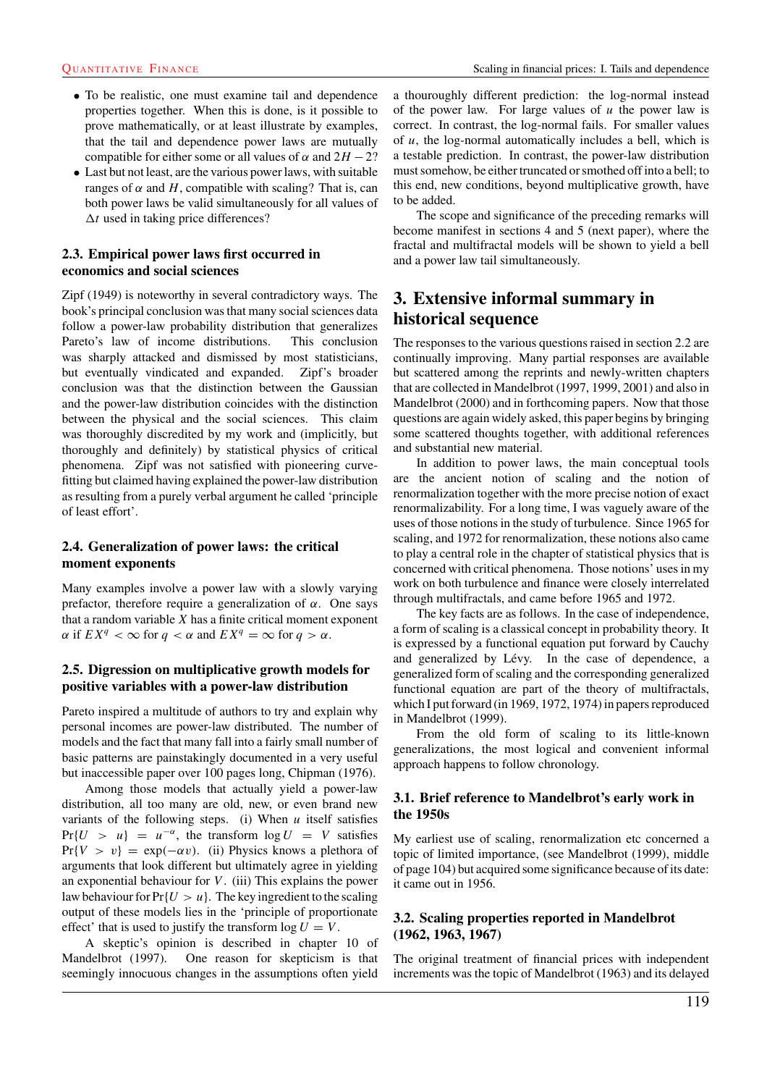- To be realistic, one must examine tail and dependence properties together. When this is done, is it possible to prove mathematically, or at least illustrate by examples, that the tail and dependence power laws are mutually compatible for either some or all values of  $\alpha$  and  $2H - 2$ ?
- Last but not least, are the various power laws, with suitable ranges of  $\alpha$  and H, compatible with scaling? That is, can both power laws be valid simultaneously for all values of  $\Delta t$  used in taking price differences?

#### **2.3. Empirical power laws first occurred in economics and social sciences**

Zipf (1949) is noteworthy in several contradictory ways. The book's principal conclusion was that many social sciences data follow a power-law probability distribution that generalizes Pareto's law of income distributions. This conclusion was sharply attacked and dismissed by most statisticians, but eventually vindicated and expanded. Zipf's broader conclusion was that the distinction between the Gaussian and the power-law distribution coincides with the distinction between the physical and the social sciences. This claim was thoroughly discredited by my work and (implicitly, but thoroughly and definitely) by statistical physics of critical phenomena. Zipf was not satisfied with pioneering curvefitting but claimed having explained the power-law distribution as resulting from a purely verbal argument he called 'principle of least effort'.

#### **2.4. Generalization of power laws: the critical moment exponents**

Many examples involve a power law with a slowly varying prefactor, therefore require a generalization of  $\alpha$ . One says that a random variable  $X$  has a finite critical moment exponent  $\alpha$  if  $EX^q < \infty$  for  $q < \alpha$  and  $EX^q = \infty$  for  $q > \alpha$ .

#### **2.5. Digression on multiplicative growth models for positive variables with a power-law distribution**

Pareto inspired a multitude of authors to try and explain why personal incomes are power-law distributed. The number of models and the fact that many fall into a fairly small number of basic patterns are painstakingly documented in a very useful but inaccessible paper over 100 pages long, Chipman (1976).

Among those models that actually yield a power-law distribution, all too many are old, new, or even brand new variants of the following steps. (i) When  $u$  itself satisfies  $Pr{U > u} = u^{-\alpha}$ , the transform  $log U = V$  satisfies  $Pr{V > v} = exp(-\alpha v)$ . (ii) Physics knows a plethora of arguments that look different but ultimately agree in yielding an exponential behaviour for  $V$ . (iii) This explains the power law behaviour for  $Pr\{U > u\}$ . The key ingredient to the scaling output of these models lies in the 'principle of proportionate effect' that is used to justify the transform  $\log U = V$ .

A skeptic's opinion is described in chapter 10 of Mandelbrot (1997). One reason for skepticism is that seemingly innocuous changes in the assumptions often yield a thouroughly different prediction: the log-normal instead of the power law. For large values of  $u$  the power law is correct. In contrast, the log-normal fails. For smaller values of  $u$ , the log-normal automatically includes a bell, which is a testable prediction. In contrast, the power-law distribution must somehow, be either truncated or smothed off into a bell; to this end, new conditions, beyond multiplicative growth, have to be added.

The scope and significance of the preceding remarks will become manifest in sections 4 and 5 (next paper), where the fractal and multifractal models will be shown to yield a bell and a power law tail simultaneously.

# **3. Extensive informal summary in historical sequence**

The responses to the various questions raised in section 2.2 are continually improving. Many partial responses are available but scattered among the reprints and newly-written chapters that are collected in Mandelbrot (1997, 1999, 2001) and also in Mandelbrot (2000) and in forthcoming papers. Now that those questions are again widely asked, this paper begins by bringing some scattered thoughts together, with additional references and substantial new material.

In addition to power laws, the main conceptual tools are the ancient notion of scaling and the notion of renormalization together with the more precise notion of exact renormalizability. For a long time, I was vaguely aware of the uses of those notions in the study of turbulence. Since 1965 for scaling, and 1972 for renormalization, these notions also came to play a central role in the chapter of statistical physics that is concerned with critical phenomena. Those notions' uses in my work on both turbulence and finance were closely interrelated through multifractals, and came before 1965 and 1972.

The key facts are as follows. In the case of independence, a form of scaling is a classical concept in probability theory. It is expressed by a functional equation put forward by Cauchy and generalized by Lévy. In the case of dependence, a generalized form of scaling and the corresponding generalized functional equation are part of the theory of multifractals, which I put forward (in 1969, 1972, 1974) in papers reproduced in Mandelbrot (1999).

From the old form of scaling to its little-known generalizations, the most logical and convenient informal approach happens to follow chronology.

#### **3.1. Brief reference to Mandelbrot's early work in the 1950s**

My earliest use of scaling, renormalization etc concerned a topic of limited importance, (see Mandelbrot (1999), middle of page 104) but acquired some significance because of its date: it came out in 1956.

#### **3.2. Scaling properties reported in Mandelbrot (1962, 1963, 1967)**

The original treatment of financial prices with independent increments was the topic of Mandelbrot (1963) and its delayed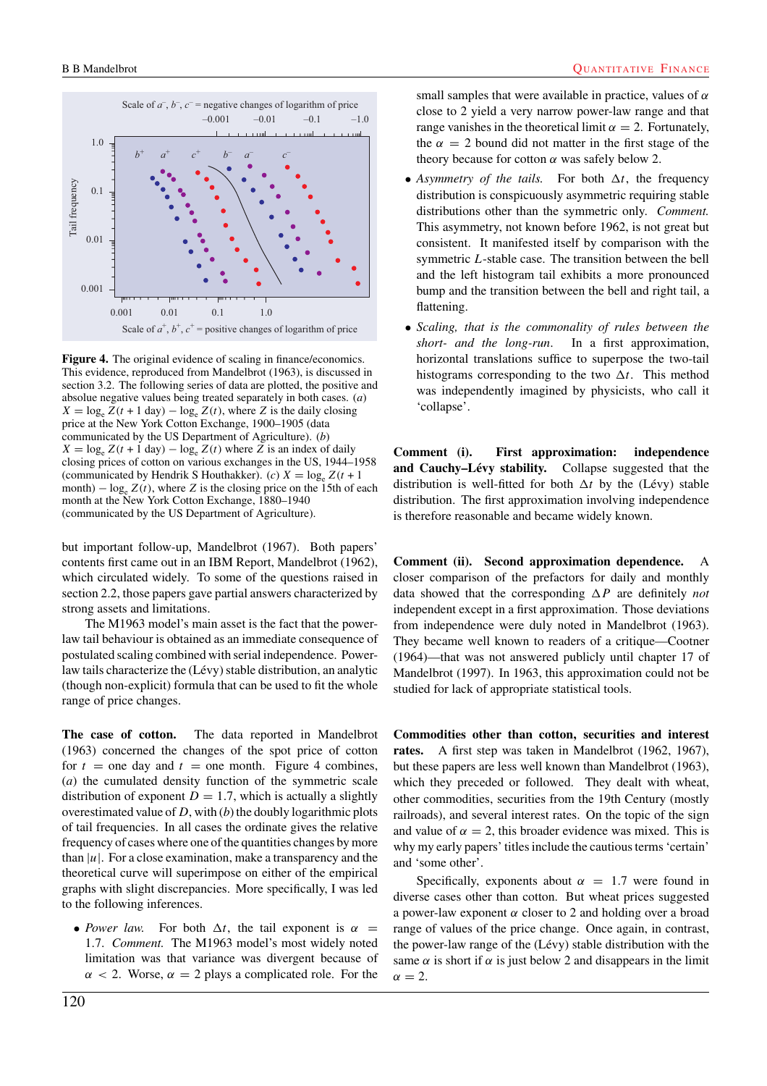

**Figure 4.** The original evidence of scaling in finance/economics. This evidence, reproduced from Mandelbrot (1963), is discussed in section 3.2. The following series of data are plotted, the positive and absolue negative values being treated separately in both cases. (*a*)  $X = \log_e Z(t + 1 \text{ day}) - \log_e Z(t)$ , where Z is the daily closing price at the New York Cotton Exchange, 1900–1905 (data communicated by the US Department of Agriculture). (*b*)  $X = \log_e Z(t + 1 \text{ day}) - \log_e Z(t)$  where Z is an index of daily closing prices of cotton on various exchanges in the US, 1944–1958 (communicated by Hendrik S Houthakker). (*c*)  $X = \log_e Z(t + 1)$ month)  $-\log_e Z(t)$ , where Z is the closing price on the 15th of each month at the New York Cotton Exchange, 1880–1940 (communicated by the US Department of Agriculture).

but important follow-up, Mandelbrot (1967). Both papers' contents first came out in an IBM Report, Mandelbrot (1962), which circulated widely. To some of the questions raised in section 2.2, those papers gave partial answers characterized by strong assets and limitations.

The M1963 model's main asset is the fact that the powerlaw tail behaviour is obtained as an immediate consequence of postulated scaling combined with serial independence. Powerlaw tails characterize the (Lévy) stable distribution, an analytic (though non-explicit) formula that can be used to fit the whole range of price changes.

**The case of cotton.** The data reported in Mandelbrot (1963) concerned the changes of the spot price of cotton for  $t =$  one day and  $t =$  one month. Figure 4 combines, (*a*) the cumulated density function of the symmetric scale distribution of exponent  $D = 1.7$ , which is actually a slightly overestimated value of D, with (*b*) the doubly logarithmic plots of tail frequencies. In all cases the ordinate gives the relative frequency of cases where one of the quantities changes by more than  $|u|$ . For a close examination, make a transparency and the theoretical curve will superimpose on either of the empirical graphs with slight discrepancies. More specifically, I was led to the following inferences.

• *Power law.* For both  $\Delta t$ , the tail exponent is  $\alpha$  = 1.7. *Comment.* The M1963 model's most widely noted limitation was that variance was divergent because of  $\alpha$  < 2. Worse,  $\alpha$  = 2 plays a complicated role. For the small samples that were available in practice, values of  $\alpha$ close to 2 yield a very narrow power-law range and that range vanishes in the theoretical limit  $\alpha = 2$ . Fortunately, the  $\alpha = 2$  bound did not matter in the first stage of the theory because for cotton  $\alpha$  was safely below 2.

- Asymmetry of the tails. For both  $\Delta t$ , the frequency distribution is conspicuously asymmetric requiring stable distributions other than the symmetric only. *Comment.* This asymmetry, not known before 1962, is not great but consistent. It manifested itself by comparison with the symmetric L-stable case. The transition between the bell and the left histogram tail exhibits a more pronounced bump and the transition between the bell and right tail, a flattening.
- *Scaling, that is the commonality of rules between the short- and the long-run*. In a first approximation, horizontal translations suffice to superpose the two-tail histograms corresponding to the two  $\Delta t$ . This method was independently imagined by physicists, who call it 'collapse'.

**Comment (i). First approximation: independence** and Cauchy-Lévy stability. Collapse suggested that the distribution is well-fitted for both  $\Delta t$  by the (Lévy) stable distribution. The first approximation involving independence is therefore reasonable and became widely known.

**Comment (ii). Second approximation dependence.** A closer comparison of the prefactors for daily and monthly data showed that the corresponding  $\Delta P$  are definitely *not* independent except in a first approximation. Those deviations from independence were duly noted in Mandelbrot (1963). They became well known to readers of a critique—Cootner (1964)—that was not answered publicly until chapter 17 of Mandelbrot (1997). In 1963, this approximation could not be studied for lack of appropriate statistical tools.

**Commodities other than cotton, securities and interest rates.** A first step was taken in Mandelbrot (1962, 1967), but these papers are less well known than Mandelbrot (1963), which they preceded or followed. They dealt with wheat, other commodities, securities from the 19th Century (mostly railroads), and several interest rates. On the topic of the sign and value of  $\alpha = 2$ , this broader evidence was mixed. This is why my early papers' titles include the cautious terms 'certain' and 'some other'.

Specifically, exponents about  $\alpha = 1.7$  were found in diverse cases other than cotton. But wheat prices suggested a power-law exponent  $\alpha$  closer to 2 and holding over a broad range of values of the price change. Once again, in contrast, the power-law range of the (Lévy) stable distribution with the same  $\alpha$  is short if  $\alpha$  is just below 2 and disappears in the limit  $\alpha = 2$ .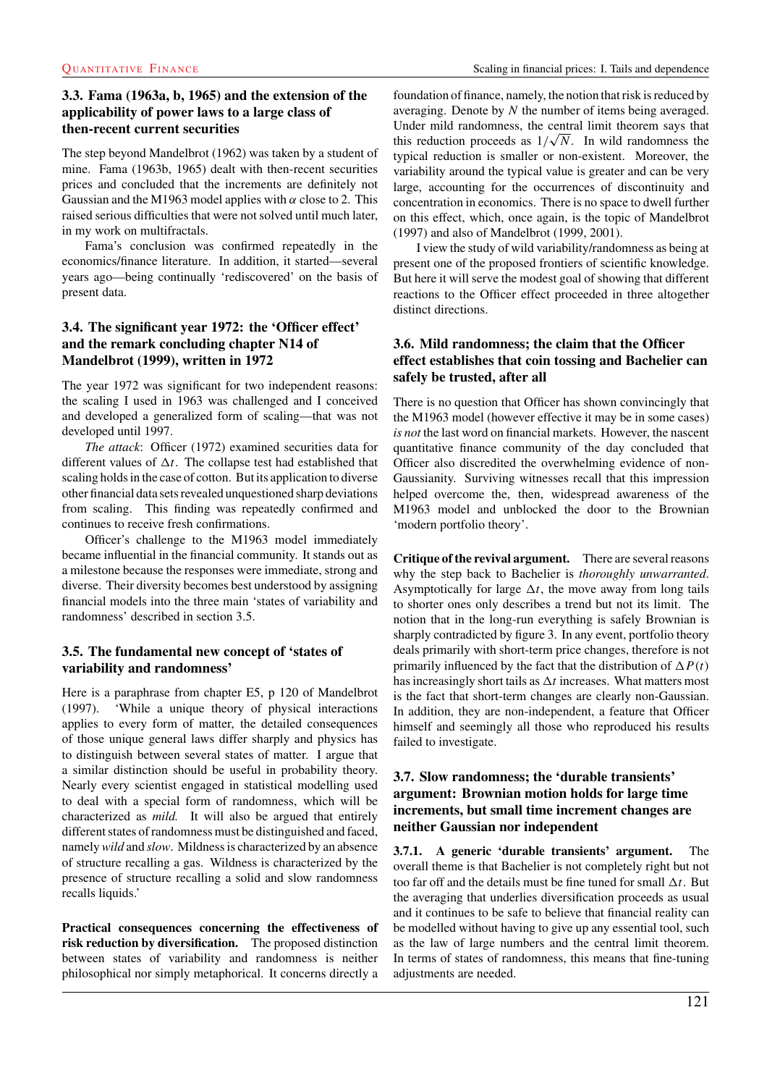#### **3.3. Fama (1963a, b, 1965) and the extension of the applicability of power laws to a large class of then-recent current securities**

The step beyond Mandelbrot (1962) was taken by a student of mine. Fama (1963b, 1965) dealt with then-recent securities prices and concluded that the increments are definitely not Gaussian and the M1963 model applies with  $\alpha$  close to 2. This raised serious difficulties that were not solved until much later, in my work on multifractals.

Fama's conclusion was confirmed repeatedly in the economics/finance literature. In addition, it started—several years ago—being continually 'rediscovered' on the basis of present data.

#### **3.4. The significant year 1972: the 'Officer effect' and the remark concluding chapter N14 of Mandelbrot (1999), written in 1972**

The year 1972 was significant for two independent reasons: the scaling I used in 1963 was challenged and I conceived and developed a generalized form of scaling—that was not developed until 1997.

*The attack*: Officer (1972) examined securities data for different values of  $\Delta t$ . The collapse test had established that scaling holds in the case of cotton. But its application to diverse other financial data sets revealed unquestioned sharp deviations from scaling. This finding was repeatedly confirmed and continues to receive fresh confirmations.

Officer's challenge to the M1963 model immediately became influential in the financial community. It stands out as a milestone because the responses were immediate, strong and diverse. Their diversity becomes best understood by assigning financial models into the three main 'states of variability and randomness' described in section 3.5.

#### **3.5. The fundamental new concept of 'states of variability and randomness'**

Here is a paraphrase from chapter E5, p 120 of Mandelbrot (1997). 'While a unique theory of physical interactions applies to every form of matter, the detailed consequences of those unique general laws differ sharply and physics has to distinguish between several states of matter. I argue that a similar distinction should be useful in probability theory. Nearly every scientist engaged in statistical modelling used to deal with a special form of randomness, which will be characterized as *mild.* It will also be argued that entirely different states of randomness must be distinguished and faced, namely*wild* and *slow*. Mildness is characterized by an absence of structure recalling a gas. Wildness is characterized by the presence of structure recalling a solid and slow randomness recalls liquids.'

**Practical consequences concerning the effectiveness of risk reduction by diversification.** The proposed distinction between states of variability and randomness is neither philosophical nor simply metaphorical. It concerns directly a foundation of finance, namely, the notion that risk is reduced by averaging. Denote by N the number of items being averaged. Under mild randomness, the central limit theorem says that Under mild randomness, the central limit theorem says that<br>this reduction proceeds as  $1/\sqrt{N}$ . In wild randomness the typical reduction is smaller or non-existent. Moreover, the variability around the typical value is greater and can be very large, accounting for the occurrences of discontinuity and concentration in economics. There is no space to dwell further on this effect, which, once again, is the topic of Mandelbrot (1997) and also of Mandelbrot (1999, 2001).

I view the study of wild variability/randomness as being at present one of the proposed frontiers of scientific knowledge. But here it will serve the modest goal of showing that different reactions to the Officer effect proceeded in three altogether distinct directions.

#### **3.6. Mild randomness; the claim that the Officer effect establishes that coin tossing and Bachelier can safely be trusted, after all**

There is no question that Officer has shown convincingly that the M1963 model (however effective it may be in some cases) *is not* the last word on financial markets. However, the nascent quantitative finance community of the day concluded that Officer also discredited the overwhelming evidence of non-Gaussianity. Surviving witnesses recall that this impression helped overcome the, then, widespread awareness of the M1963 model and unblocked the door to the Brownian 'modern portfolio theory'.

**Critique of the revival argument.** There are several reasons why the step back to Bachelier is *thoroughly unwarranted*. Asymptotically for large  $\Delta t$ , the move away from long tails to shorter ones only describes a trend but not its limit. The notion that in the long-run everything is safely Brownian is sharply contradicted by figure 3. In any event, portfolio theory deals primarily with short-term price changes, therefore is not primarily influenced by the fact that the distribution of  $\Delta P(t)$ has increasingly short tails as  $\Delta t$  increases. What matters most is the fact that short-term changes are clearly non-Gaussian. In addition, they are non-independent, a feature that Officer himself and seemingly all those who reproduced his results failed to investigate.

#### **3.7. Slow randomness; the 'durable transients' argument: Brownian motion holds for large time increments, but small time increment changes are neither Gaussian nor independent**

**3.7.1. A generic 'durable transients' argument.** The overall theme is that Bachelier is not completely right but not too far off and the details must be fine tuned for small  $\Delta t$ . But the averaging that underlies diversification proceeds as usual and it continues to be safe to believe that financial reality can be modelled without having to give up any essential tool, such as the law of large numbers and the central limit theorem. In terms of states of randomness, this means that fine-tuning adjustments are needed.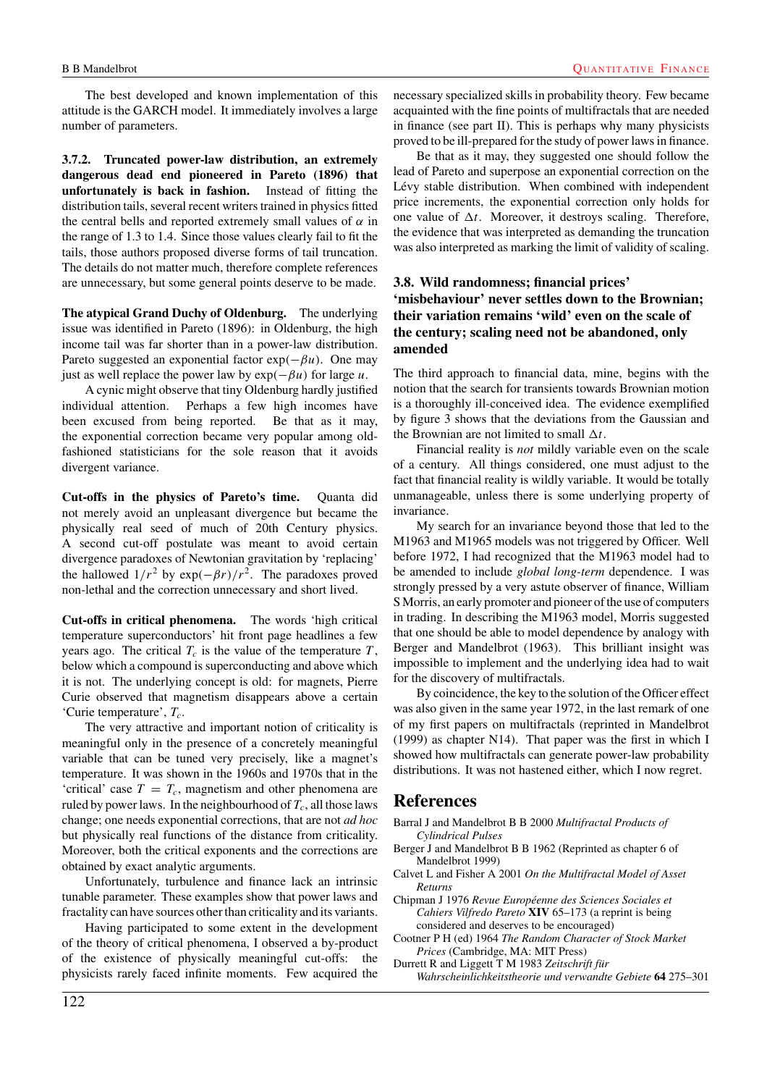The best developed and known implementation of this attitude is the GARCH model. It immediately involves a large number of parameters.

**3.7.2. Truncated power-law distribution, an extremely dangerous dead end pioneered in Pareto (1896) that unfortunately is back in fashion.** Instead of fitting the distribution tails, several recent writers trained in physics fitted the central bells and reported extremely small values of  $\alpha$  in the range of 1.3 to 1.4. Since those values clearly fail to fit the tails, those authors proposed diverse forms of tail truncation. The details do not matter much, therefore complete references are unnecessary, but some general points deserve to be made.

**The atypical Grand Duchy of Oldenburg.** The underlying issue was identified in Pareto (1896): in Oldenburg, the high income tail was far shorter than in a power-law distribution. Pareto suggested an exponential factor  $exp(-\beta u)$ . One may just as well replace the power law by  $exp(-\beta u)$  for large u.

A cynic might observe that tiny Oldenburg hardly justified individual attention. Perhaps a few high incomes have been excused from being reported. Be that as it may, the exponential correction became very popular among oldfashioned statisticians for the sole reason that it avoids divergent variance.

**Cut-offs in the physics of Pareto's time.** Quanta did not merely avoid an unpleasant divergence but became the physically real seed of much of 20th Century physics. A second cut-off postulate was meant to avoid certain divergence paradoxes of Newtonian gravitation by 'replacing' the hallowed  $1/r^2$  by  $\exp(-\beta r)/r^2$ . The paradoxes proved non-lethal and the correction unnecessary and short lived.

**Cut-offs in critical phenomena.** The words 'high critical temperature superconductors' hit front page headlines a few years ago. The critical  $T_c$  is the value of the temperature  $T$ , below which a compound is superconducting and above which it is not. The underlying concept is old: for magnets, Pierre Curie observed that magnetism disappears above a certain 'Curie temperature',  $T_c$ .

The very attractive and important notion of criticality is meaningful only in the presence of a concretely meaningful variable that can be tuned very precisely, like a magnet's temperature. It was shown in the 1960s and 1970s that in the 'critical' case  $T = T_c$ , magnetism and other phenomena are ruled by power laws. In the neighbourhood of  $T_c$ , all those laws change; one needs exponential corrections, that are not *ad hoc* but physically real functions of the distance from criticality. Moreover, both the critical exponents and the corrections are obtained by exact analytic arguments.

Unfortunately, turbulence and finance lack an intrinsic tunable parameter. These examples show that power laws and fractality can have sources other than criticality and its variants.

Having participated to some extent in the development of the theory of critical phenomena, I observed a by-product of the existence of physically meaningful cut-offs: the physicists rarely faced infinite moments. Few acquired the necessary specialized skills in probability theory. Few became acquainted with the fine points of multifractals that are needed in finance (see part II). This is perhaps why many physicists proved to be ill-prepared for the study of power laws in finance.

Be that as it may, they suggested one should follow the lead of Pareto and superpose an exponential correction on the Lévy stable distribution. When combined with independent price increments, the exponential correction only holds for one value of  $\Delta t$ . Moreover, it destroys scaling. Therefore, the evidence that was interpreted as demanding the truncation was also interpreted as marking the limit of validity of scaling.

#### **3.8. Wild randomness; financial prices' 'misbehaviour' never settles down to the Brownian; their variation remains 'wild' even on the scale of the century; scaling need not be abandoned, only amended**

The third approach to financial data, mine, begins with the notion that the search for transients towards Brownian motion is a thoroughly ill-conceived idea. The evidence exemplified by figure 3 shows that the deviations from the Gaussian and the Brownian are not limited to small  $\Delta t$ .

Financial reality is *not* mildly variable even on the scale of a century. All things considered, one must adjust to the fact that financial reality is wildly variable. It would be totally unmanageable, unless there is some underlying property of invariance.

My search for an invariance beyond those that led to the M1963 and M1965 models was not triggered by Officer. Well before 1972, I had recognized that the M1963 model had to be amended to include *global long-term* dependence. I was strongly pressed by a very astute observer of finance, William S Morris, an early promoter and pioneer of the use of computers in trading. In describing the M1963 model, Morris suggested that one should be able to model dependence by analogy with Berger and Mandelbrot (1963). This brilliant insight was impossible to implement and the underlying idea had to wait for the discovery of multifractals.

By coincidence, the key to the solution of the Officer effect was also given in the same year 1972, in the last remark of one of my first papers on multifractals (reprinted in Mandelbrot (1999) as chapter N14). That paper was the first in which I showed how multifractals can generate power-law probability distributions. It was not hastened either, which I now regret.

# **References**

Barral J and Mandelbrot B B 2000 *Multifractal Products of Cylindrical Pulses*

- Berger J and Mandelbrot B B 1962 (Reprinted as chapter 6 of Mandelbrot 1999)
- Calvet L and Fisher A 2001 *On the Multifractal Model of Asset Returns*

Chipman J 1976 *Revue Europeenne des Sciences Sociales et ´ Cahiers Vilfredo Pareto* **XIV** 65–173 (a reprint is being considered and deserves to be encouraged)

- Cootner P H (ed) 1964 *The Random Character of Stock Market Prices* (Cambridge, MA: MIT Press)
- Durrett R and Liggett T M 1983 *Zeitschrift fur¨ Wahrscheinlichkeitstheorie und verwandte Gebiete* **64** 275–301